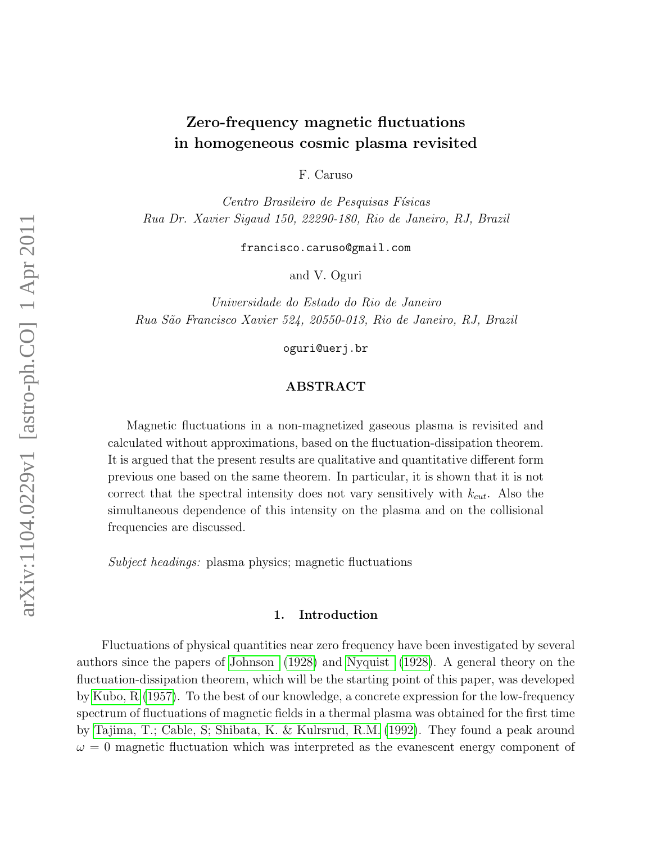# Zero-frequency magnetic fluctuations in homogeneous cosmic plasma revisited

F. Caruso

Centro Brasileiro de Pesquisas Físicas Rua Dr. Xavier Sigaud 150, 22290-180, Rio de Janeiro, RJ, Brazil

francisco.caruso@gmail.com

and V. Oguri

Universidade do Estado do Rio de Janeiro Rua S˜ao Francisco Xavier 524, 20550-013, Rio de Janeiro, RJ, Brazil

oguri@uerj.br

## ABSTRACT

Magnetic fluctuations in a non-magnetized gaseous plasma is revisited and calculated without approximations, based on the fluctuation-dissipation theorem. It is argued that the present results are qualitative and quantitative different form previous one based on the same theorem. In particular, it is shown that it is not correct that the spectral intensity does not vary sensitively with  $k_{cut}$ . Also the simultaneous dependence of this intensity on the plasma and on the collisional frequencies are discussed.

Subject headings: plasma physics; magnetic fluctuations

#### 1. Introduction

Fluctuations of physical quantities near zero frequency have been investigated by several authors since the papers of [Johnson](#page-9-0) [\(1928\)](#page-9-0) and [Nyquist](#page-9-1) [\(1928\)](#page-9-1). A general theory on the fluctuation-dissipation theorem, which will be the starting point of this paper, was developed by [Kubo, R.\(1957\)](#page-8-0). To the best of our knowledge, a concrete expression for the low-frequency spectrum of fluctuations of magnetic fields in a thermal plasma was obtained for the first time by [Tajima, T.; Cable, S; Shibata, K. & Kulrsrud, R.M.](#page-9-2) [\(1992\)](#page-9-2). They found a peak around  $\omega = 0$  magnetic fluctuation which was interpreted as the evanescent energy component of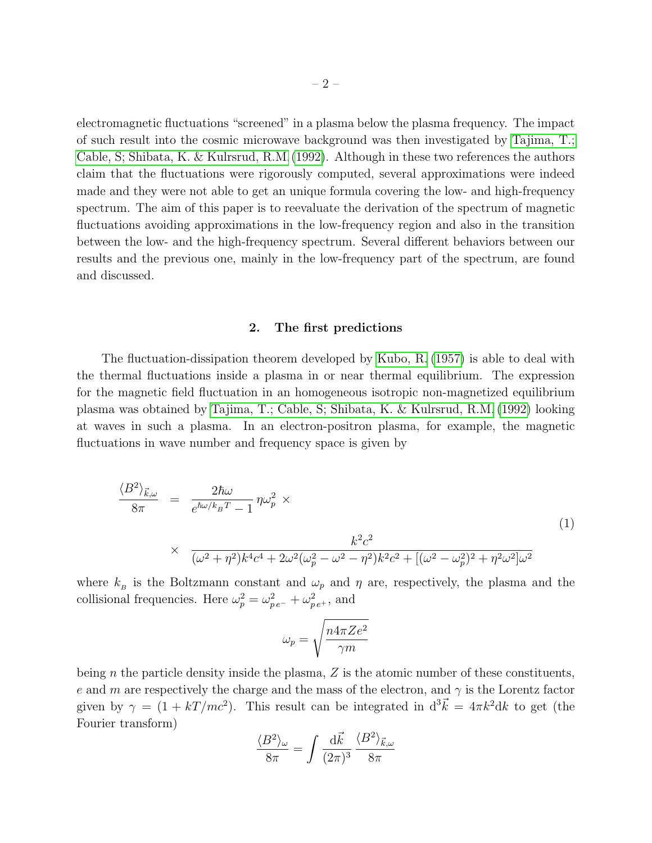electromagnetic fluctuations "screened" in a plasma below the plasma frequency. The impact of such result into the cosmic microwave background was then investigated by [Tajima, T.;](#page-9-3) [Cable, S; Shibata, K. & Kulrsrud, R.M.\(1992\)](#page-9-3). Although in these two references the authors claim that the fluctuations were rigorously computed, several approximations were indeed made and they were not able to get an unique formula covering the low- and high-frequency spectrum. The aim of this paper is to reevaluate the derivation of the spectrum of magnetic fluctuations avoiding approximations in the low-frequency region and also in the transition between the low- and the high-frequency spectrum. Several different behaviors between our results and the previous one, mainly in the low-frequency part of the spectrum, are found and discussed.

## 2. The first predictions

The fluctuation-dissipation theorem developed by [Kubo, R.](#page-8-0) [\(1957\)](#page-8-0) is able to deal with the thermal fluctuations inside a plasma in or near thermal equilibrium. The expression for the magnetic field fluctuation in an homogeneous isotropic non-magnetized equilibrium plasma was obtained by [Tajima, T.; Cable, S; Shibata, K. & Kulrsrud, R.M.](#page-9-2) [\(1992\)](#page-9-2) looking at waves in such a plasma. In an electron-positron plasma, for example, the magnetic fluctuations in wave number and frequency space is given by

<span id="page-1-0"></span>
$$
\frac{\langle B^2 \rangle_{\vec{k},\omega}}{8\pi} = \frac{2\hbar\omega}{e^{\hbar\omega/k_BT} - 1} \eta \omega_p^2 \times
$$
\n
$$
\times \frac{k^2 c^2}{(\omega^2 + \eta^2)k^4 c^4 + 2\omega^2(\omega_p^2 - \omega^2 - \eta^2)k^2 c^2 + [(\omega^2 - \omega_p^2)^2 + \eta^2 \omega^2]\omega^2}
$$
\n(1)

where  $k_B$  is the Boltzmann constant and  $\omega_p$  and  $\eta$  are, respectively, the plasma and the collisional frequencies. Here  $\omega_p^2 = \omega_{pe^-}^2 + \omega_{pe^+}^2$ , and

$$
\omega_p = \sqrt{\frac{n4\pi Ze^2}{\gamma m}}
$$

being  $n$  the particle density inside the plasma,  $Z$  is the atomic number of these constituents, e and m are respectively the charge and the mass of the electron, and  $\gamma$  is the Lorentz factor given by  $\gamma = (1 + kT/mc^2)$ . This result can be integrated in  $d^3\vec{k} = 4\pi k^2 dk$  to get (the Fourier transform)

$$
\frac{\langle B^2 \rangle_{\omega}}{8\pi} = \int \frac{\mathrm{d}\vec{k}}{(2\pi)^3} \, \frac{\langle B^2 \rangle_{\vec{k},\omega}}{8\pi}
$$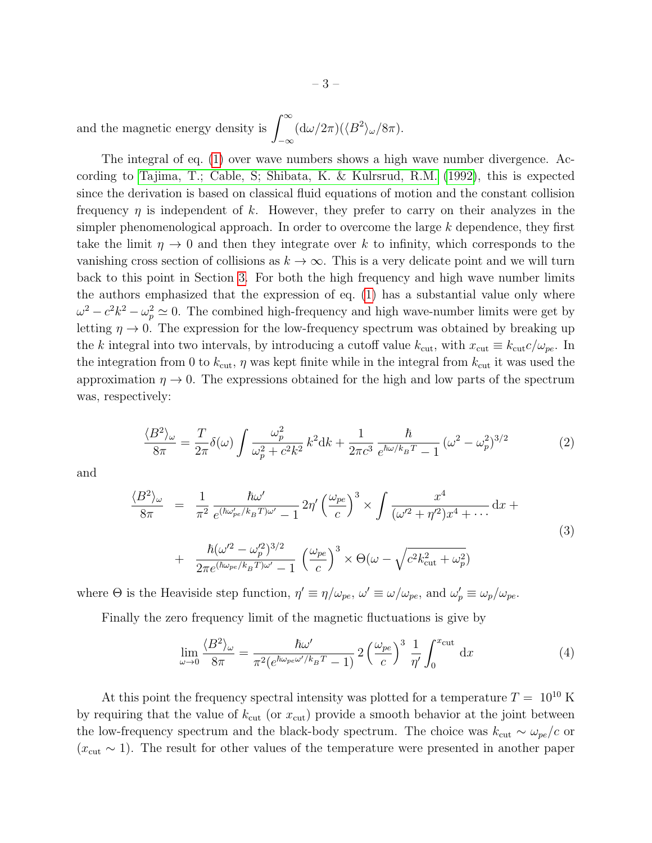and the magnetic energy density is  $\int^{\infty}$ −∞  $(d\omega/2\pi)(\langle B^2\rangle_\omega/8\pi).$ 

The integral of eq. [\(1\)](#page-1-0) over wave numbers shows a high wave number divergence. According to [Tajima, T.; Cable, S; Shibata, K. & Kulrsrud, R.M.](#page-9-2) [\(1992\)](#page-9-2), this is expected since the derivation is based on classical fluid equations of motion and the constant collision frequency  $\eta$  is independent of k. However, they prefer to carry on their analyzes in the simpler phenomenological approach. In order to overcome the large  $k$  dependence, they first take the limit  $\eta \to 0$  and then they integrate over k to infinity, which corresponds to the vanishing cross section of collisions as  $k \to \infty$ . This is a very delicate point and we will turn back to this point in Section [3.](#page-3-0) For both the high frequency and high wave number limits the authors emphasized that the expression of eq. [\(1\)](#page-1-0) has a substantial value only where  $\omega^2 - c^2 k^2 - \omega_p^2 \simeq 0$ . The combined high-frequency and high wave-number limits were get by letting  $\eta \to 0$ . The expression for the low-frequency spectrum was obtained by breaking up the k integral into two intervals, by introducing a cutoff value  $k_{\text{cut}}$ , with  $x_{\text{cut}} \equiv k_{\text{cut}} c/\omega_{pe}$ . In the integration from 0 to  $k_{\text{cut}}$ ,  $\eta$  was kept finite while in the integral from  $k_{\text{cut}}$  it was used the approximation  $\eta \to 0$ . The expressions obtained for the high and low parts of the spectrum was, respectively:

<span id="page-2-0"></span>
$$
\frac{\langle B^2 \rangle_{\omega}}{8\pi} = \frac{T}{2\pi} \delta(\omega) \int \frac{\omega_p^2}{\omega_p^2 + c^2 k^2} k^2 dk + \frac{1}{2\pi c^3} \frac{\hbar}{e^{\hbar \omega / k_B T} - 1} (\omega^2 - \omega_p^2)^{3/2}
$$
(2)

and

$$
\frac{\langle B^2 \rangle_{\omega}}{8\pi} = \frac{1}{\pi^2} \frac{\hbar \omega'}{e^{(\hbar \omega'_{pe}/k_B T)\omega'} - 1} 2\eta' \left(\frac{\omega_{pe}}{c}\right)^3 \times \int \frac{x^4}{(\omega'^2 + \eta'^2)x^4 + \cdots} dx +
$$
  
+ 
$$
\frac{\hbar (\omega'^2 - \omega_p'^2)^{3/2}}{2\pi e^{(\hbar \omega_{pe}/k_B T)\omega'} - 1} \left(\frac{\omega_{pe}}{c}\right)^3 \times \Theta(\omega - \sqrt{c^2 k_{\text{cut}}^2 + \omega_p^2})
$$
(3)

where  $\Theta$  is the Heaviside step function,  $\eta' \equiv \eta/\omega_{pe}$ ,  $\omega' \equiv \omega/\omega_{pe}$ , and  $\omega'_{p} \equiv \omega_{p}/\omega_{pe}$ .

Finally the zero frequency limit of the magnetic fluctuations is give by

<span id="page-2-1"></span>
$$
\lim_{\omega \to 0} \frac{\langle B^2 \rangle_{\omega}}{8\pi} = \frac{\hbar \omega'}{\pi^2 (e^{\hbar \omega_{pe} \omega'/k_B T} - 1)} 2 \left(\frac{\omega_{pe}}{c}\right)^3 \frac{1}{\eta'} \int_0^{x_{\text{cut}}} dx \tag{4}
$$

At this point the frequency spectral intensity was plotted for a temperature  $T = 10^{10}$  K by requiring that the value of  $k_{\text{cut}}$  (or  $x_{\text{cut}}$ ) provide a smooth behavior at the joint between the low-frequency spectrum and the black-body spectrum. The choice was  $k_{\text{cut}} \sim \omega_{pe}/c$  or  $(x_{\text{cut}} \sim 1)$ . The result for other values of the temperature were presented in another paper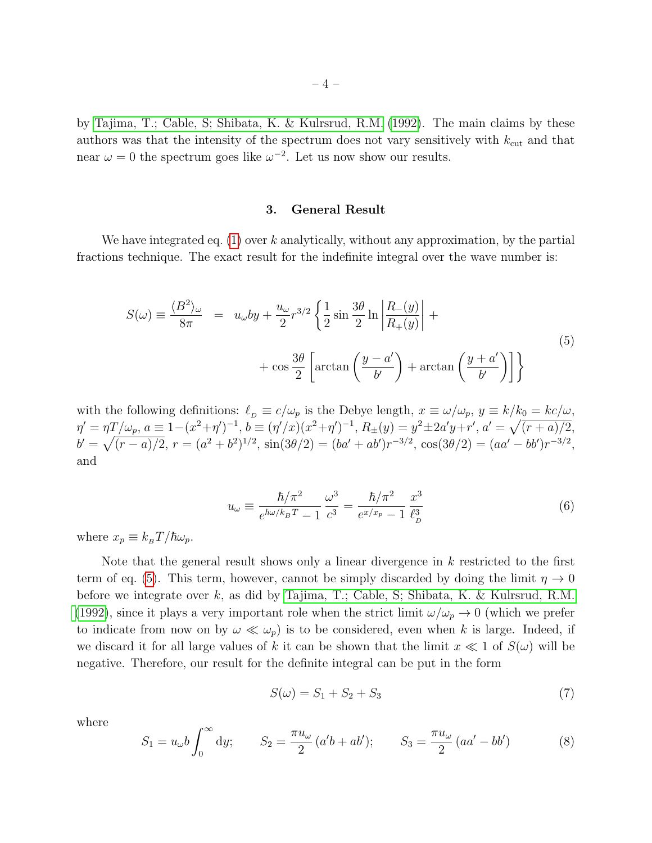by [Tajima, T.; Cable, S; Shibata, K. & Kulrsrud, R.M.](#page-9-3) [\(1992\)](#page-9-3). The main claims by these authors was that the intensity of the spectrum does not vary sensitively with  $k_{\text{cut}}$  and that near  $\omega = 0$  the spectrum goes like  $\omega^{-2}$ . Let us now show our results.

#### 3. General Result

<span id="page-3-0"></span>We have integrated eq.  $(1)$  over k analytically, without any approximation, by the partial fractions technique. The exact result for the indefinite integral over the wave number is:

<span id="page-3-1"></span>
$$
S(\omega) \equiv \frac{\langle B^2 \rangle_{\omega}}{8\pi} = u_{\omega}by + \frac{u_{\omega}}{2}r^{3/2} \left\{ \frac{1}{2}\sin\frac{3\theta}{2}\ln\left|\frac{R_{-}(y)}{R_{+}(y)}\right| + \cos\frac{3\theta}{2}\left[\arctan\left(\frac{y-a'}{b'}\right) + \arctan\left(\frac{y+a'}{b'}\right)\right] \right\}
$$
\n
$$
(5)
$$

with the following definitions:  $\ell_p \equiv c/\omega_p$  is the Debye length,  $x \equiv \omega/\omega_p$ ,  $y \equiv k/k_0 = kc/\omega$ ,  $\eta' = \eta T/\omega_p, a \equiv 1 - (x^2 + \eta')^{-1}, b \equiv (\eta'/x)(x^2 + \eta')^{-1}, R_{\pm}(y) = y^2 \pm 2a'y + r', a' = \sqrt{(r+a)/2},$  $b' = \sqrt{(r-a)/2}$ ,  $r = (a^2 + b^2)^{1/2}$ ,  $\sin(3\theta/2) = (ba' + ab')r^{-3/2}$ ,  $\cos(3\theta/2) = (aa' - bb')r^{-3/2}$ , and

$$
u_{\omega} \equiv \frac{\hbar/\pi^2}{e^{\hbar\omega/k_B T} - 1} \frac{\omega^3}{c^3} = \frac{\hbar/\pi^2}{e^{x/x_p} - 1} \frac{x^3}{\ell_D^3}
$$
(6)

where  $x_p \equiv k_B T/\hbar \omega_p$ .

Note that the general result shows only a linear divergence in  $k$  restricted to the first term of eq. [\(5\)](#page-3-1). This term, however, cannot be simply discarded by doing the limit  $\eta \to 0$ before we integrate over k, as did by [Tajima, T.; Cable, S; Shibata, K. & Kulrsrud, R.M.](#page-9-2) [\(1992\)](#page-9-2), since it plays a very important role when the strict limit  $\omega/\omega_p \to 0$  (which we prefer to indicate from now on by  $\omega \ll \omega_p$ ) is to be considered, even when k is large. Indeed, if we discard it for all large values of k it can be shown that the limit  $x \ll 1$  of  $S(\omega)$  will be negative. Therefore, our result for the definite integral can be put in the form

<span id="page-3-3"></span>
$$
S(\omega) = S_1 + S_2 + S_3 \tag{7}
$$

where

<span id="page-3-2"></span>
$$
S_1 = u_{\omega} b \int_0^{\infty} dy; \qquad S_2 = \frac{\pi u_{\omega}}{2} (a'b + ab'); \qquad S_3 = \frac{\pi u_{\omega}}{2} (aa' - bb')
$$
 (8)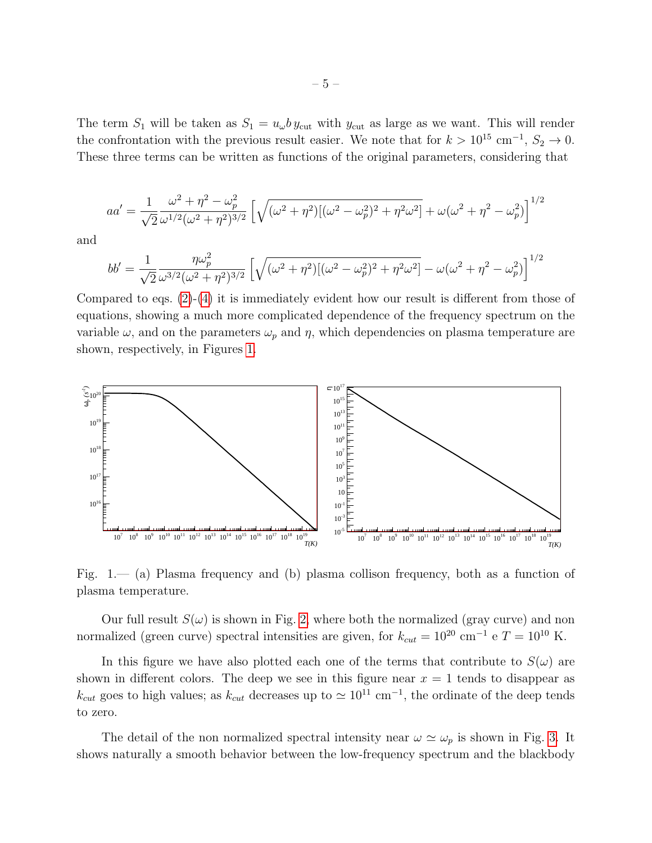The term  $S_1$  will be taken as  $S_1 = u_\omega b y_{\text{cut}}$  with  $y_{\text{cut}}$  as large as we want. This will render the confrontation with the previous result easier. We note that for  $k > 10^{15}$  cm<sup>-1</sup>,  $S_2 \rightarrow 0$ . These three terms can be written as functions of the original parameters, considering that

$$
aa' = \frac{1}{\sqrt{2}} \frac{\omega^2 + \eta^2 - \omega_p^2}{\omega^{1/2} (\omega^2 + \eta^2)^{3/2}} \left[ \sqrt{(\omega^2 + \eta^2) [(\omega^2 - \omega_p^2)^2 + \eta^2 \omega^2]} + \omega (\omega^2 + \eta^2 - \omega_p^2) \right]^{1/2}
$$

and

$$
bb' = \frac{1}{\sqrt{2}} \frac{\eta \omega_p^2}{\omega^{3/2} (\omega^2 + \eta^2)^{3/2}} \left[ \sqrt{(\omega^2 + \eta^2) [(\omega^2 - \omega_p^2)^2 + \eta^2 \omega^2]} - \omega (\omega^2 + \eta^2 - \omega_p^2) \right]^{1/2}
$$

Compared to eqs. [\(2\)](#page-2-0)-[\(4\)](#page-2-1) it is immediately evident how our result is different from those of equations, showing a much more complicated dependence of the frequency spectrum on the variable  $\omega$ , and on the parameters  $\omega_p$  and  $\eta$ , which dependencies on plasma temperature are shown, respectively, in Figures [1.](#page-4-0)



<span id="page-4-0"></span>Fig. 1.— (a) Plasma frequency and (b) plasma collison frequency, both as a function of plasma temperature.

Our full result  $S(\omega)$  is shown in Fig. [2,](#page-5-0) where both the normalized (gray curve) and non normalized (green curve) spectral intensities are given, for  $k_{cut} = 10^{20} \text{ cm}^{-1} \text{ e } T = 10^{10} \text{ K}$ .

In this figure we have also plotted each one of the terms that contribute to  $S(\omega)$  are shown in different colors. The deep we see in this figure near  $x = 1$  tends to disappear as  $k_{cut}$  goes to high values; as  $k_{cut}$  decreases up to  $\simeq 10^{11}$  cm<sup>-1</sup>, the ordinate of the deep tends to zero.

The detail of the non normalized spectral intensity near  $\omega \simeq \omega_p$  is shown in Fig. [3.](#page-6-0) It shows naturally a smooth behavior between the low-frequency spectrum and the blackbody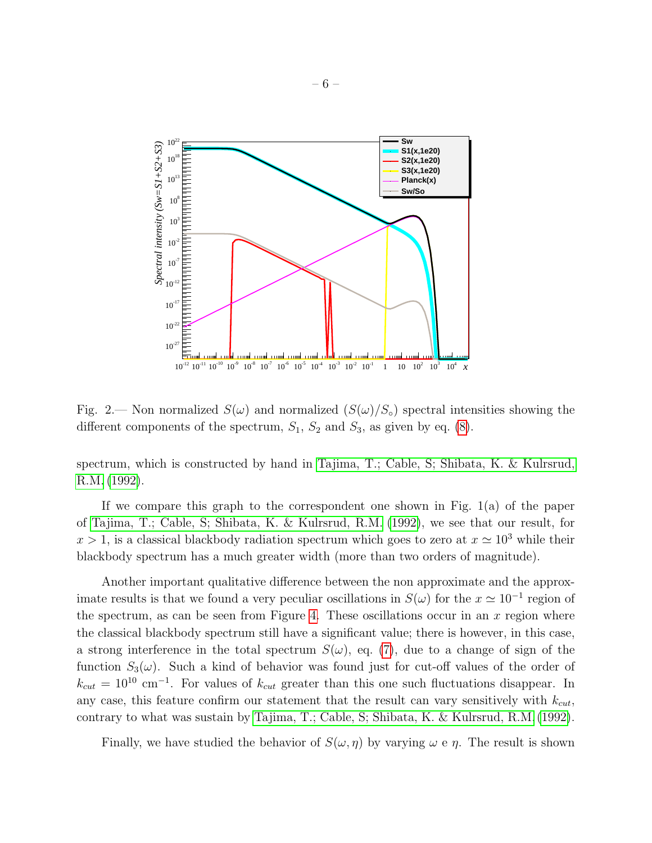

<span id="page-5-0"></span>Fig. 2.— Non normalized  $S(\omega)$  and normalized  $(S(\omega)/S_{\circ})$  spectral intensities showing the different components of the spectrum,  $S_1$ ,  $S_2$  and  $S_3$ , as given by eq. [\(8\)](#page-3-2).

spectrum, which is constructed by hand in [Tajima, T.; Cable, S; Shibata, K. & Kulrsrud,](#page-9-3) [R.M.](#page-9-3) [\(1992\)](#page-9-3).

If we compare this graph to the correspondent one shown in Fig. 1(a) of the paper of [Tajima, T.; Cable, S; Shibata, K. & Kulrsrud, R.M.](#page-9-3) [\(1992\)](#page-9-3), we see that our result, for  $x > 1$ , is a classical blackbody radiation spectrum which goes to zero at  $x \approx 10^3$  while their blackbody spectrum has a much greater width (more than two orders of magnitude).

Another important qualitative difference between the non approximate and the approximate results is that we found a very peculiar oscillations in  $S(\omega)$  for the  $x \simeq 10^{-1}$  region of the spectrum, as can be seen from Figure [4.](#page-6-1) These oscillations occur in an  $x$  region where the classical blackbody spectrum still have a significant value; there is however, in this case, a strong interference in the total spectrum  $S(\omega)$ , eq. [\(7\)](#page-3-3), due to a change of sign of the function  $S_3(\omega)$ . Such a kind of behavior was found just for cut-off values of the order of  $k_{cut} = 10^{10}$  cm<sup>-1</sup>. For values of  $k_{cut}$  greater than this one such fluctuations disappear. In any case, this feature confirm our statement that the result can vary sensitively with  $k_{cut}$ , contrary to what was sustain by [Tajima, T.; Cable, S; Shibata, K. & Kulrsrud, R.M.](#page-9-3) [\(1992\)](#page-9-3).

Finally, we have studied the behavior of  $S(\omega, \eta)$  by varying  $\omega$  e  $\eta$ . The result is shown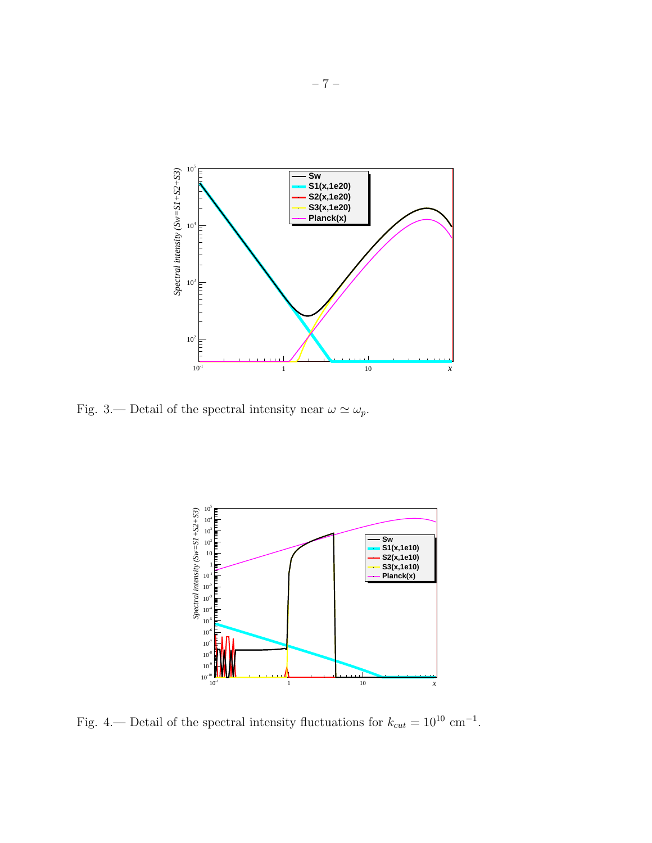

<span id="page-6-0"></span>Fig. 3.— Detail of the spectral intensity near  $\omega \simeq \omega_p$ .



<span id="page-6-1"></span>Fig. 4.— Detail of the spectral intensity fluctuations for  $k_{cut} = 10^{10}$  cm<sup>-1</sup>.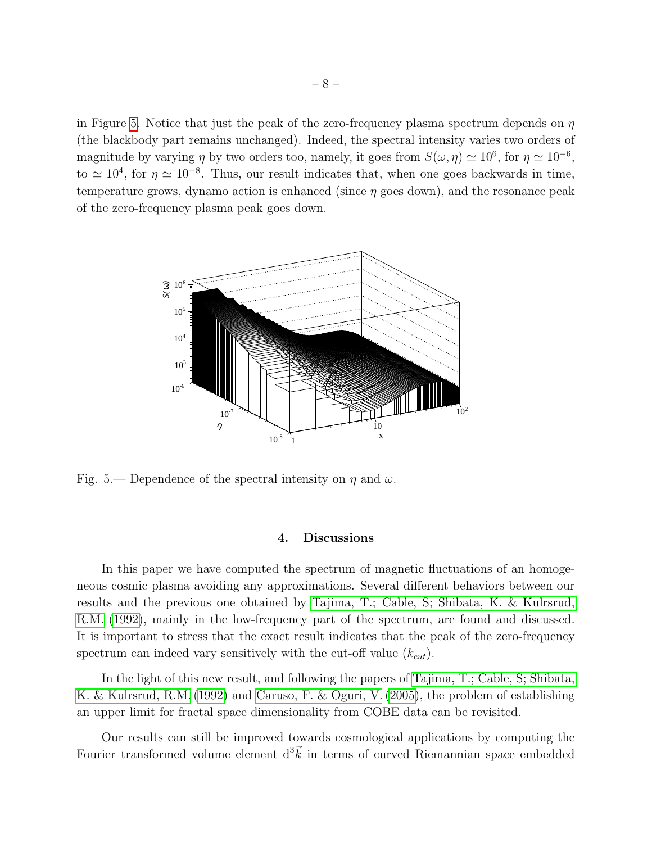in Figure [5.](#page-7-0) Notice that just the peak of the zero-frequency plasma spectrum depends on  $\eta$ (the blackbody part remains unchanged). Indeed, the spectral intensity varies two orders of magnitude by varying  $\eta$  by two orders too, namely, it goes from  $S(\omega, \eta) \simeq 10^6$ , for  $\eta \simeq 10^{-6}$ , to  $\simeq 10^4$ , for  $\eta \simeq 10^{-8}$ . Thus, our result indicates that, when one goes backwards in time, temperature grows, dynamo action is enhanced (since  $\eta$  goes down), and the resonance peak of the zero-frequency plasma peak goes down.



<span id="page-7-0"></span>Fig. 5.— Dependence of the spectral intensity on  $\eta$  and  $\omega$ .

### 4. Discussions

In this paper we have computed the spectrum of magnetic fluctuations of an homogeneous cosmic plasma avoiding any approximations. Several different behaviors between our results and the previous one obtained by [Tajima, T.; Cable, S; Shibata, K. & Kulrsrud,](#page-9-3) [R.M.](#page-9-3) [\(1992\)](#page-9-3), mainly in the low-frequency part of the spectrum, are found and discussed. It is important to stress that the exact result indicates that the peak of the zero-frequency spectrum can indeed vary sensitively with the cut-off value  $(k_{cut})$ .

In the light of this new result, and following the papers of [Tajima, T.; Cable, S; Shibata,](#page-9-3) [K. & Kulrsrud, R.M.](#page-9-3) [\(1992\)](#page-9-3) and [Caruso, F. & Oguri, V.](#page-9-4) [\(2005\)](#page-9-4), the problem of establishing an upper limit for fractal space dimensionality from COBE data can be revisited.

Our results can still be improved towards cosmological applications by computing the Fourier transformed volume element  $d^3\vec{k}$  in terms of curved Riemannian space embedded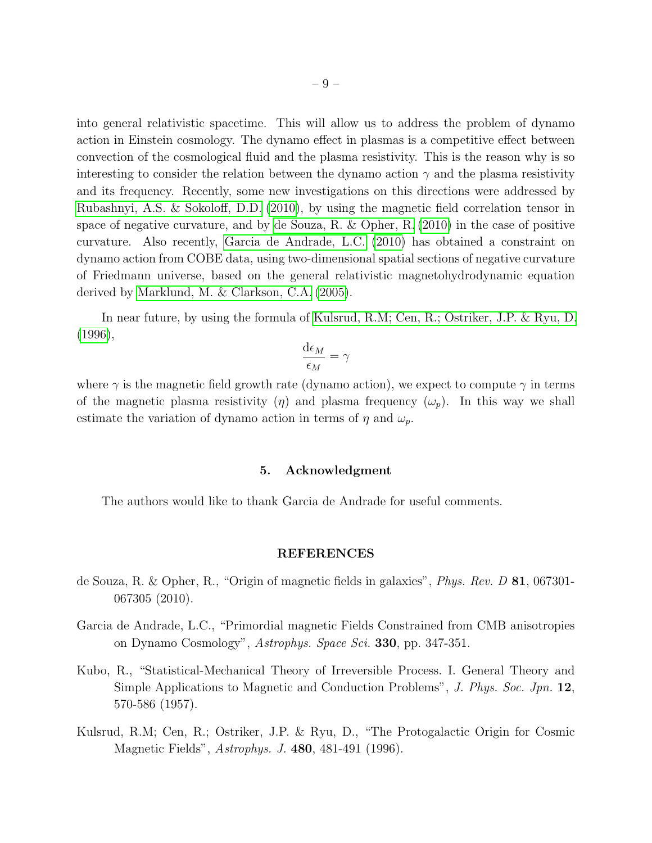into general relativistic spacetime. This will allow us to address the problem of dynamo action in Einstein cosmology. The dynamo effect in plasmas is a competitive effect between convection of the cosmological fluid and the plasma resistivity. This is the reason why is so interesting to consider the relation between the dynamo action  $\gamma$  and the plasma resistivity and its frequency. Recently, some new investigations on this directions were addressed by [Rubashnyi, A.S. & Sokoloff, D.D.](#page-9-5) [\(2010\)](#page-9-5), by using the magnetic field correlation tensor in space of negative curvature, and by [de Souza, R. & Opher, R.](#page-8-1) [\(2010\)](#page-8-1) in the case of positive curvature. Also recently, [Garcia de Andrade, L.C.](#page-8-2) [\(2010\)](#page-8-2) has obtained a constraint on dynamo action from COBE data, using two-dimensional spatial sections of negative curvature of Friedmann universe, based on the general relativistic magnetohydrodynamic equation derived by [Marklund, M. & Clarkson, C.A.](#page-9-6) [\(2005\)](#page-9-6).

In near future, by using the formula of [Kulsrud, R.M; Cen, R.; Ostriker, J.P. & Ryu, D.](#page-8-3) [\(1996\)](#page-8-3),

$$
\frac{\mathrm{d} \epsilon_M}{\epsilon_M} = \gamma
$$

where  $\gamma$  is the magnetic field growth rate (dynamo action), we expect to compute  $\gamma$  in terms of the magnetic plasma resistivity  $(\eta)$  and plasma frequency  $(\omega_p)$ . In this way we shall estimate the variation of dynamo action in terms of  $\eta$  and  $\omega_p$ .

#### 5. Acknowledgment

The authors would like to thank Garcia de Andrade for useful comments.

#### REFERENCES

- <span id="page-8-1"></span>de Souza, R. & Opher, R., "Origin of magnetic fields in galaxies", Phys. Rev. D 81, 067301- 067305 (2010).
- <span id="page-8-2"></span>Garcia de Andrade, L.C., "Primordial magnetic Fields Constrained from CMB anisotropies on Dynamo Cosmology", Astrophys. Space Sci. 330, pp. 347-351.
- <span id="page-8-0"></span>Kubo, R., "Statistical-Mechanical Theory of Irreversible Process. I. General Theory and Simple Applications to Magnetic and Conduction Problems", J. Phys. Soc. Jpn. 12, 570-586 (1957).
- <span id="page-8-3"></span>Kulsrud, R.M; Cen, R.; Ostriker, J.P. & Ryu, D., "The Protogalactic Origin for Cosmic Magnetic Fields", Astrophys. J. 480, 481-491 (1996).